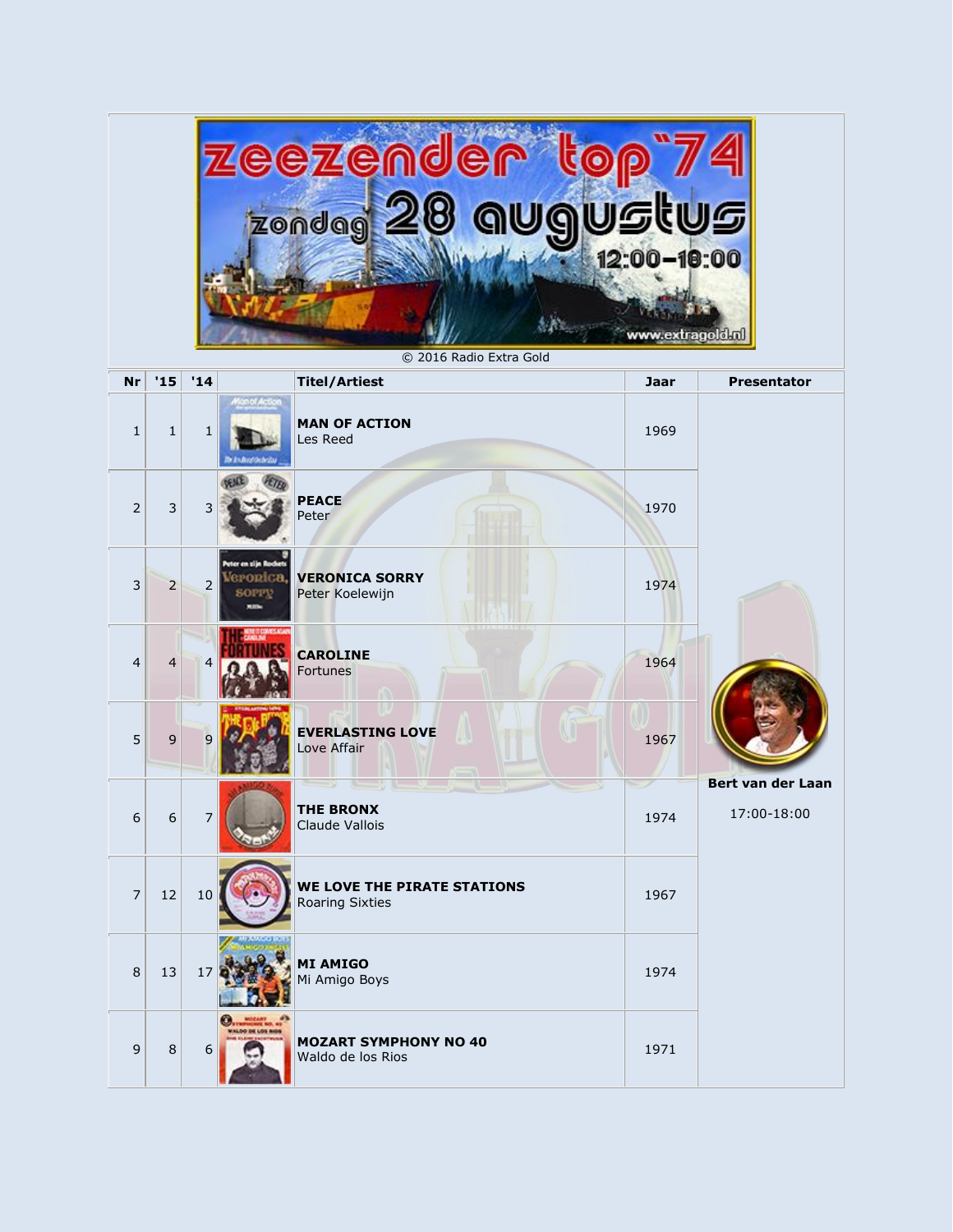| <u>zeezende</u><br>zondag 20 augustus<br>12:00-10:00<br>www.extragold.nl<br>© 2016 Radio Extra Gold |                  |                |                                           |                                                       |             |                                  |  |
|-----------------------------------------------------------------------------------------------------|------------------|----------------|-------------------------------------------|-------------------------------------------------------|-------------|----------------------------------|--|
| <b>Nr</b>                                                                                           | '15              | '14            |                                           | <b>Titel/Artiest</b>                                  | <b>Jaar</b> | <b>Presentator</b>               |  |
| $\mathbf{1}$                                                                                        | $\mathbf{1}$     | $\mathbf{1}$   |                                           | <b>MAN OF ACTION</b><br>Les Reed                      | 1969        |                                  |  |
| $\overline{2}$                                                                                      | 3                | 3              |                                           | <b>PEACE</b><br>Peter                                 | 1970        |                                  |  |
| 3                                                                                                   | 2                | $\overline{2}$ | Peter en zijn Rocket<br>tronica.<br>SOPPV | <b>VERONICA SORRY</b><br>Peter Koelewijn              | 1974        |                                  |  |
| 4                                                                                                   | 4                | 4              |                                           | <b>CAROLINE</b><br>Fortunes                           | 1964        |                                  |  |
| 5                                                                                                   | 9                | 9              |                                           | <b>EVERLASTING LOVE</b><br>Love Affair                | 1967        |                                  |  |
| 6                                                                                                   | $\boldsymbol{6}$ | $\prime$       |                                           | <b>THE BRONX</b><br>Claude Vallois                    | 1974        | Bert van der Laan<br>17:00-18:00 |  |
| $\overline{7}$                                                                                      | 12               | 10             |                                           | WE LOVE THE PIRATE STATIONS<br><b>Roaring Sixties</b> | 1967        |                                  |  |
| $\,8\,$                                                                                             | 13               | 17             |                                           | <b>MI AMIGO</b><br>Mi Amigo Boys                      | 1974        |                                  |  |
| 9                                                                                                   | $\,8\,$          | 6              | --                                        | <b>MOZART SYMPHONY NO 40</b><br>Waldo de los Rios     | 1971        |                                  |  |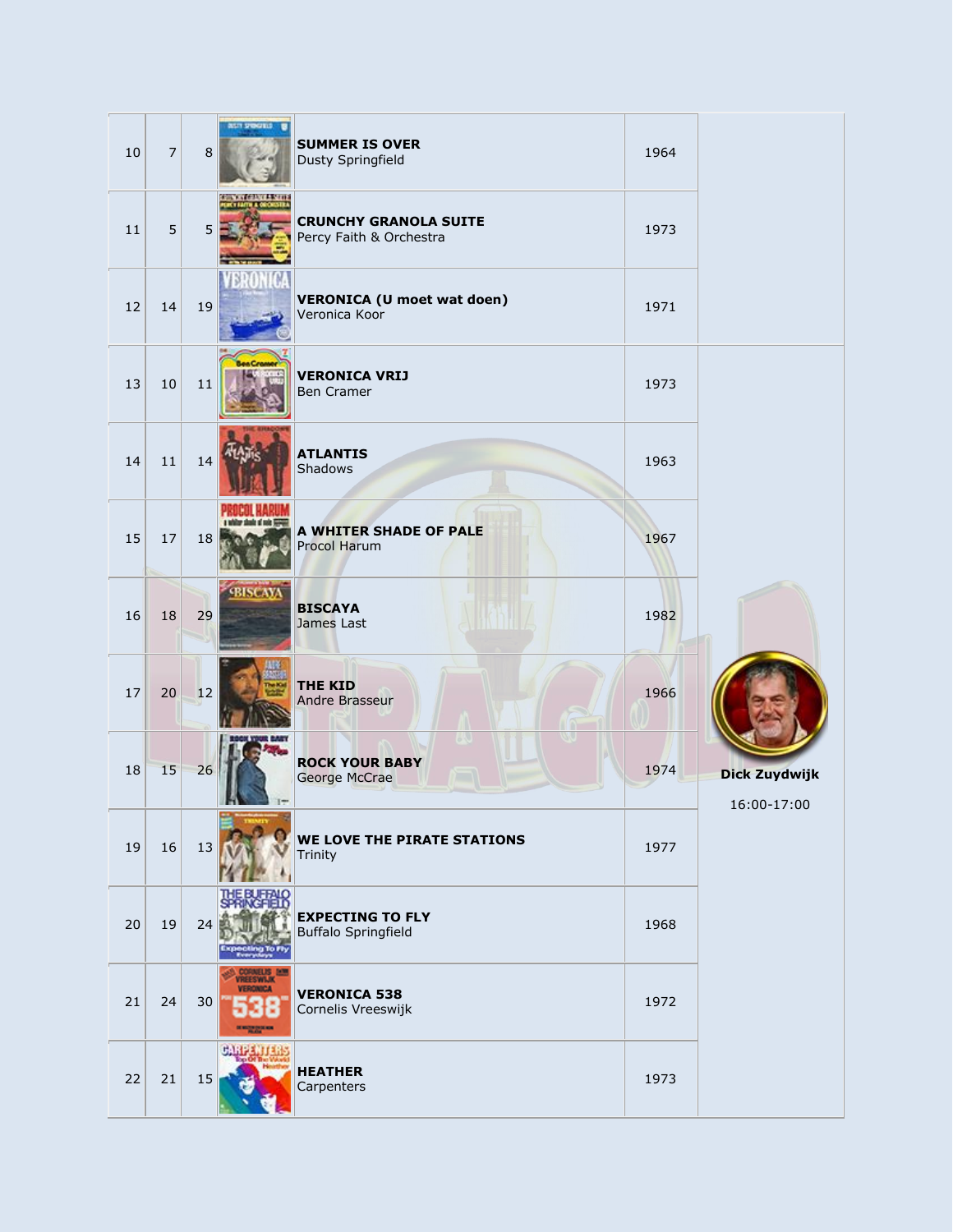| 10 | $\boldsymbol{7}$ | 8      | <b>WITH SHOWERS</b>                  | <b>SUMMER IS OVER</b><br>Dusty Springfield              | 1964 |                              |
|----|------------------|--------|--------------------------------------|---------------------------------------------------------|------|------------------------------|
| 11 | 5                | 5      | <b><i>CONTRACTOR AND INCOME.</i></b> | <b>CRUNCHY GRANOLA SUITE</b><br>Percy Faith & Orchestra | 1973 |                              |
| 12 | 14               | 19     |                                      | <b>VERONICA (U moet wat doen)</b><br>Veronica Koor      | 1971 |                              |
| 13 | 10               | $11\,$ |                                      | <b>VERONICA VRIJ</b><br>Ben Cramer                      | 1973 |                              |
| 14 | 11               | 14     |                                      | <b>ATLANTIS</b><br>Shadows                              | 1963 |                              |
| 15 | 17               | 18     |                                      | A WHITER SHADE OF PALE<br>Procol Harum                  | 1967 |                              |
| 16 | 18               | 29     | <b>SBISCAYA</b>                      | <b>BISCAYA</b><br>James Last                            | 1982 |                              |
| 17 | 20               | 12     |                                      | <b>THE KID</b><br>Andre Brasseur                        | 1966 |                              |
| 18 | 15               | 26     |                                      | <b>ROCK YOUR BABY</b><br>George McCrae                  | 1974 | Dick Zuydwijk<br>16:00-17:00 |
| 19 | 16               | 13     |                                      | WE LOVE THE PIRATE STATIONS<br>Trinity                  | 1977 |                              |
| 20 | 19               | 24     |                                      | <b>EXPECTING TO FLY</b><br><b>Buffalo Springfield</b>   | 1968 |                              |
| 21 | 24               | 30     | EESWAR<br>NICA                       | <b>VERONICA 538</b><br>Cornelis Vreeswijk               | 1972 |                              |
| 22 | 21               | 15     |                                      | <b>HEATHER</b><br>Carpenters                            | 1973 |                              |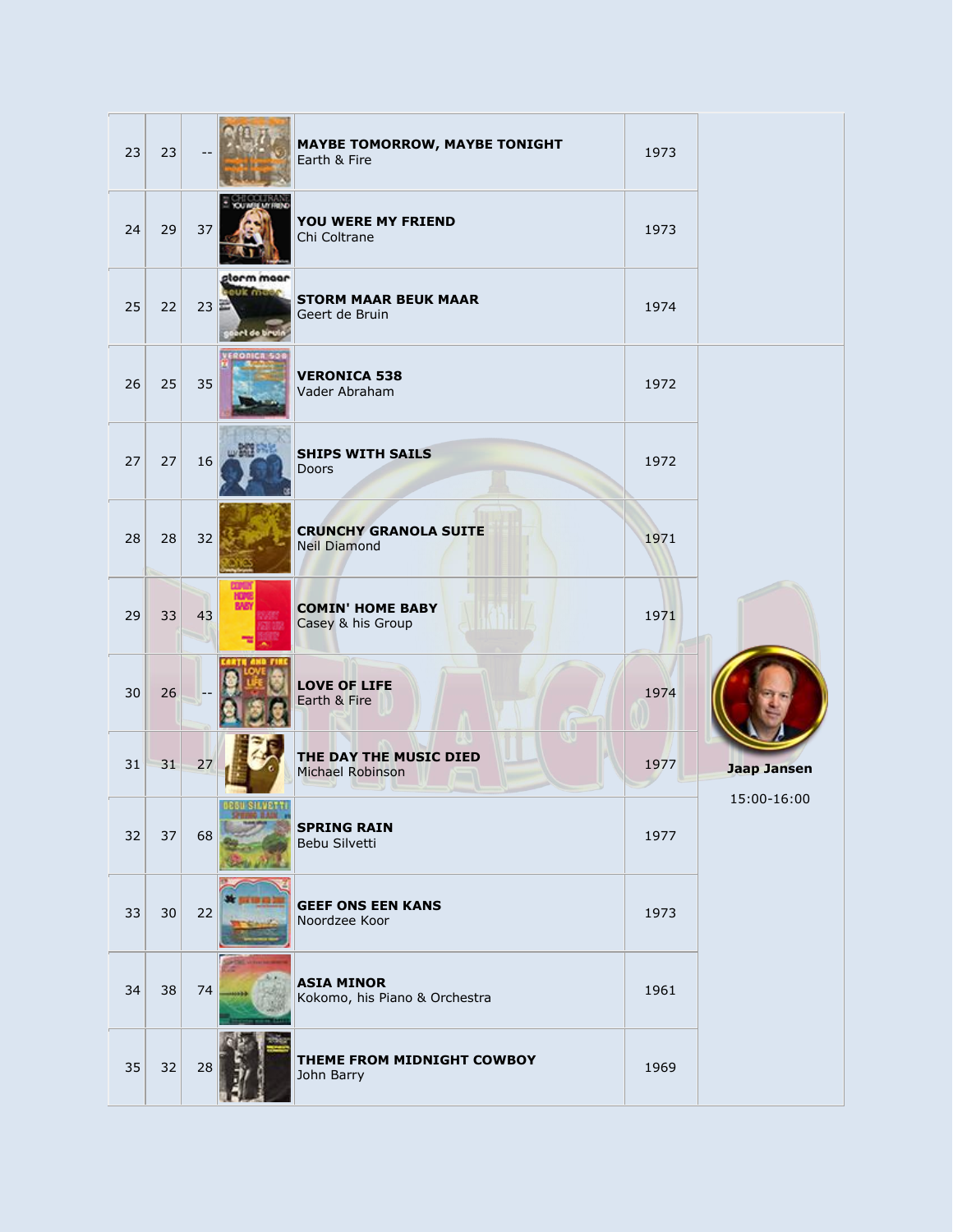| 23 | 23 |    |                                               | <b>MAYBE TOMORROW, MAYBE TONIGHT</b><br>Earth & Fire | 1973 |                    |
|----|----|----|-----------------------------------------------|------------------------------------------------------|------|--------------------|
| 24 | 29 | 37 |                                               | YOU WERE MY FRIEND<br>Chi Coltrane                   | 1973 |                    |
| 25 | 22 | 23 | apom moor<br><b>CUR MILLES</b><br>et de tieul | <b>STORM MAAR BEUK MAAR</b><br>Geert de Bruin        | 1974 |                    |
| 26 | 25 | 35 | RONICA 50                                     | <b>VERONICA 538</b><br>Vader Abraham                 | 1972 |                    |
| 27 | 27 | 16 | turker                                        | <b>SHIPS WITH SAILS</b><br><b>Doors</b>              | 1972 |                    |
| 28 | 28 | 32 |                                               | <b>CRUNCHY GRANOLA SUITE</b><br><b>Neil Diamond</b>  | 1971 |                    |
| 29 | 33 | 43 | HOM<br>BAI                                    | <b>COMIN' HOME BABY</b><br>Casey & his Group         | 1971 |                    |
| 30 | 26 |    |                                               | <b>LOVE OF LIFE</b><br>Earth & Fire                  | 1974 |                    |
| 31 | 31 | 27 |                                               | THE DAY THE MUSIC DIED<br>Michael Robinson           | 1977 | <b>Jaap Jansen</b> |
| 32 | 37 | 68 | <b>BEGU SILVETTI</b>                          | <b>SPRING RAIN</b><br>Bebu Silvetti                  | 1977 | 15:00-16:00        |
| 33 | 30 | 22 |                                               | <b>GEEF ONS EEN KANS</b><br>Noordzee Koor            | 1973 |                    |
| 34 | 38 | 74 |                                               | <b>ASIA MINOR</b><br>Kokomo, his Piano & Orchestra   | 1961 |                    |
| 35 | 32 | 28 |                                               | THEME FROM MIDNIGHT COWBOY<br>John Barry             | 1969 |                    |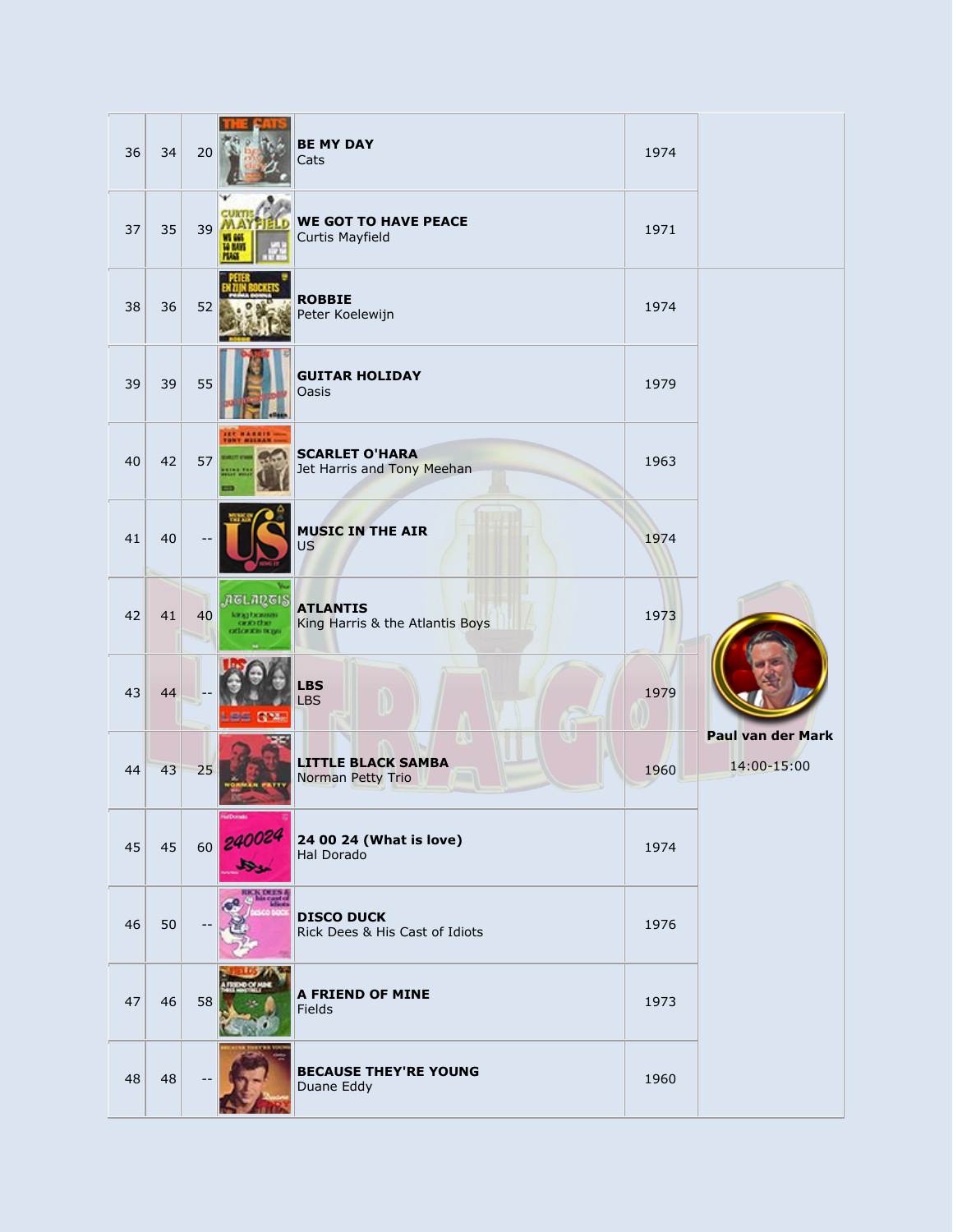| 36 | 34 | 20 |                                                                         | <b>BE MY DAY</b><br>Cats                            | 1974 |                                  |
|----|----|----|-------------------------------------------------------------------------|-----------------------------------------------------|------|----------------------------------|
| 37 | 35 | 39 | m an<br><b>HAM</b>                                                      | <b>WE GOT TO HAVE PEACE</b><br>Curtis Mayfield      | 1971 |                                  |
| 38 | 36 | 52 |                                                                         | <b>ROBBIE</b><br>Peter Koelewijn                    | 1974 |                                  |
| 39 | 39 | 55 |                                                                         | <b>GUITAR HOLIDAY</b><br>Oasis                      | 1979 |                                  |
| 40 | 42 | 57 | <b>JET HARRIS</b>                                                       | <b>SCARLET O'HARA</b><br>Jet Harris and Tony Meehan | 1963 |                                  |
| 41 | 40 |    |                                                                         | <b>MUSIC IN THE AIR</b><br><b>US</b>                | 1974 |                                  |
| 42 | 41 | 40 | nglangis<br><b>FAILK BUSINE</b><br><b>GEND EEN!</b><br>cattowacas mones | <b>ATLANTIS</b><br>King Harris & the Atlantis Boys  | 1973 |                                  |
| 43 | 44 |    | <b>LEE NYA</b>                                                          | <b>LBS</b><br><b>LBS</b>                            | 1979 |                                  |
| 44 | 43 | 25 |                                                                         | <b>LITTLE BLACK SAMBA</b><br>Norman Petty Trio      | 1960 | Paul van der Mark<br>14:00-15:00 |
| 45 | 45 | 60 | iaDondo<br>240024<br>بجل                                                | 24 00 24 (What is love)<br>Hal Dorado               | 1974 |                                  |
| 46 | 50 |    |                                                                         | <b>DISCO DUCK</b><br>Rick Dees & His Cast of Idiots | 1976 |                                  |
| 47 | 46 | 58 |                                                                         | A FRIEND OF MINE<br>Fields                          | 1973 |                                  |
| 48 | 48 |    |                                                                         | <b>BECAUSE THEY'RE YOUNG</b><br>Duane Eddy          | 1960 |                                  |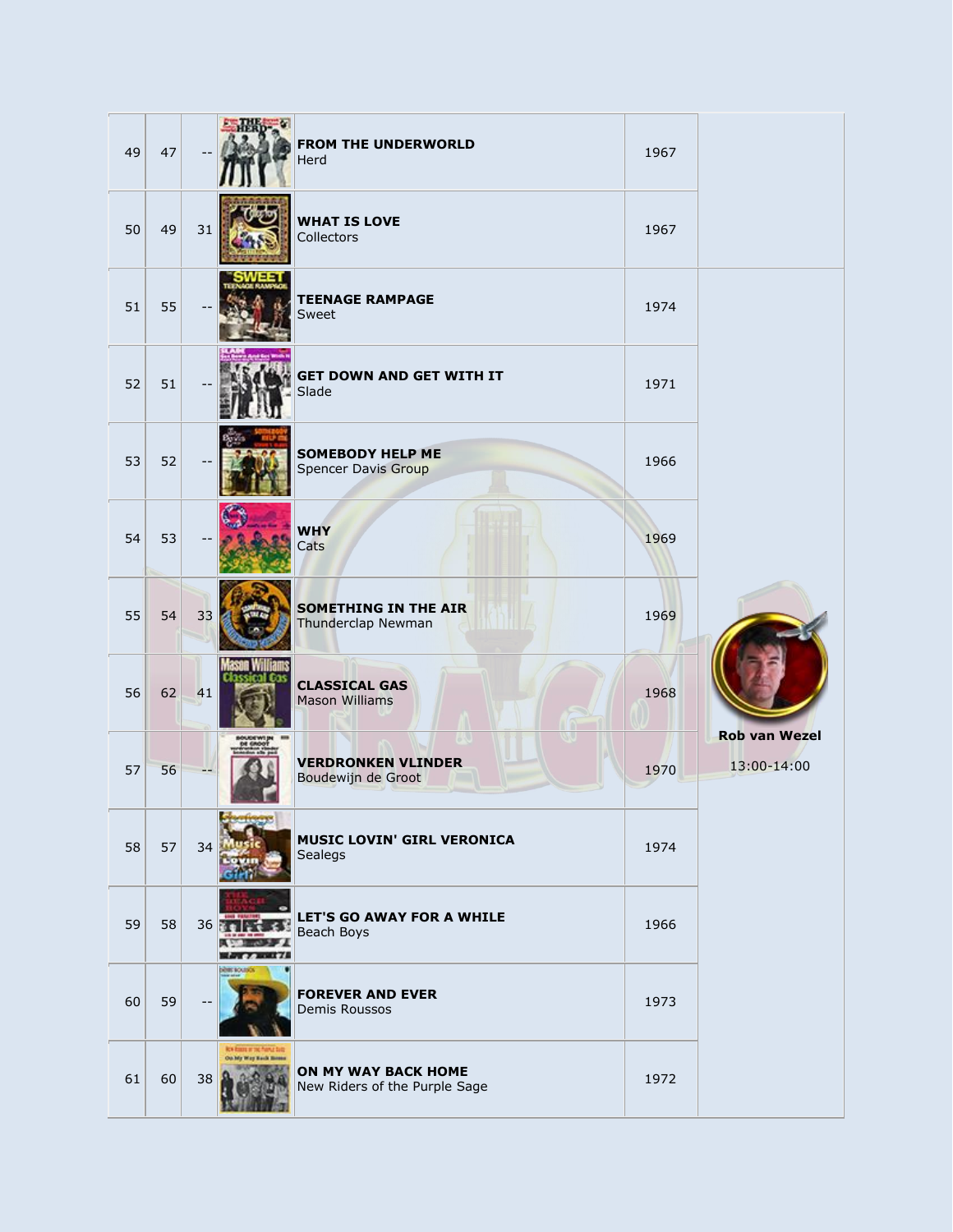| 49 | 47 |    |                                              | <b>FROM THE UNDERWORLD</b><br>Herd                          | 1967 |                                     |
|----|----|----|----------------------------------------------|-------------------------------------------------------------|------|-------------------------------------|
| 50 | 49 | 31 |                                              | <b>WHAT IS LOVE</b><br>Collectors                           | 1967 |                                     |
| 51 | 55 |    |                                              | <b>TEENAGE RAMPAGE</b><br>Sweet                             | 1974 |                                     |
| 52 | 51 |    |                                              | <b>GET DOWN AND GET WITH IT</b><br>Slade                    | 1971 |                                     |
| 53 | 52 |    |                                              | <b>SOMEBODY HELP ME</b><br><b>Spencer Davis Group</b>       | 1966 |                                     |
| 54 | 53 |    |                                              | <b>WHY</b><br>Cats                                          | 1969 |                                     |
| 55 | 54 | 33 |                                              | <b>SOMETHING IN THE AIR</b><br>Thunderclap Newman           | 1969 |                                     |
| 56 | 62 | 41 |                                              | <b>CLASSICAL GAS</b><br><b>Mason Williams</b>               | 1968 |                                     |
| 57 | 56 |    |                                              | <b>VERDRONKEN VLINDER</b><br>Boudewijn de Groot             | 1970 | <b>Rob van Wezel</b><br>13:00-14:00 |
| 58 | 57 | 34 |                                              | <b>MUSIC LOVIN' GIRL VERONICA</b><br>Sealegs                | 1974 |                                     |
| 59 | 58 | 36 |                                              | LET'S GO AWAY FOR A WHILE<br>Beach Boys                     | 1966 |                                     |
| 60 | 59 |    | share acutation                              | <b>FOREVER AND EVER</b><br>Demis Roussos                    | 1973 |                                     |
| 61 | 60 | 38 | <b>ky han a me</b><br>On his Way Rack Hotels | <b>ON MY WAY BACK HOME</b><br>New Riders of the Purple Sage | 1972 |                                     |